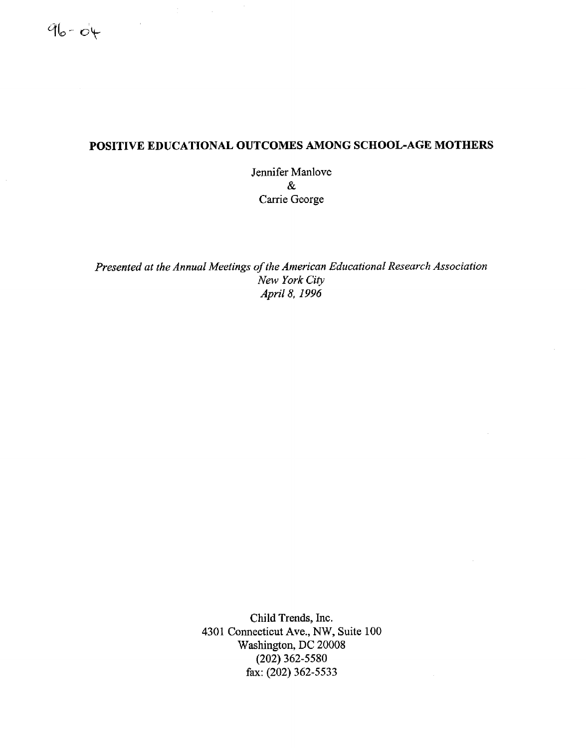# POSITIVE EDUCATIONAL OUTCOMES AMONG SCHOOL-AGE MOTHERS

Jennifer Manlove & Carrie George

*Presented at the Annual Meetings of the American Educational Research Association New Yark City April S, 1996*

> Child Trends, Inc. 4301 Connecticut Ave., NW, Suite 100 Washington, DC 20008 (202) 362-5580 fax: (202) 362-5533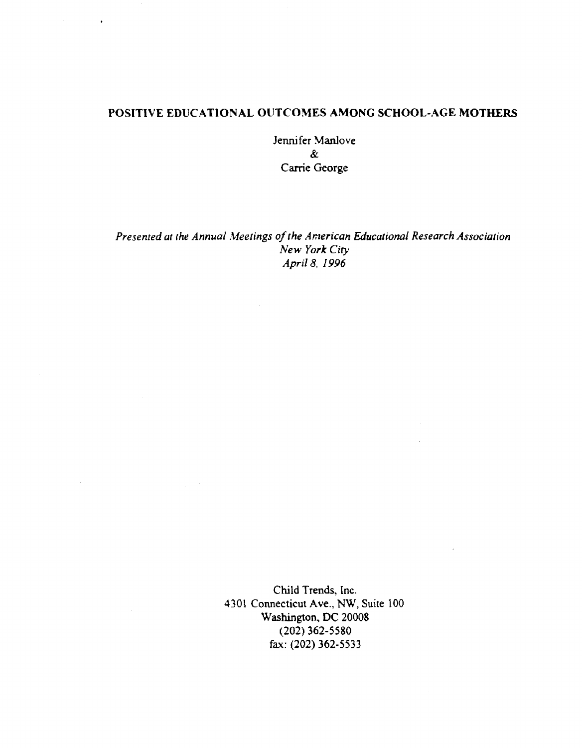## POSITIVE EDUCATIONAL OUTCOMES AMONG SCHOOL-AGE MOTHERS

Jennifer Manlove  $\boldsymbol{\mathcal{X}}$ Carrie George

Presented at the Annual Meetings of the American Educational Research Association New York City April 8, 1996

> Child Trends, Inc. 4301 Connecticut Ave., NW, Suite 100 Washington, DC 20008  $(202)$  362-5580 fax: (202) 362-5533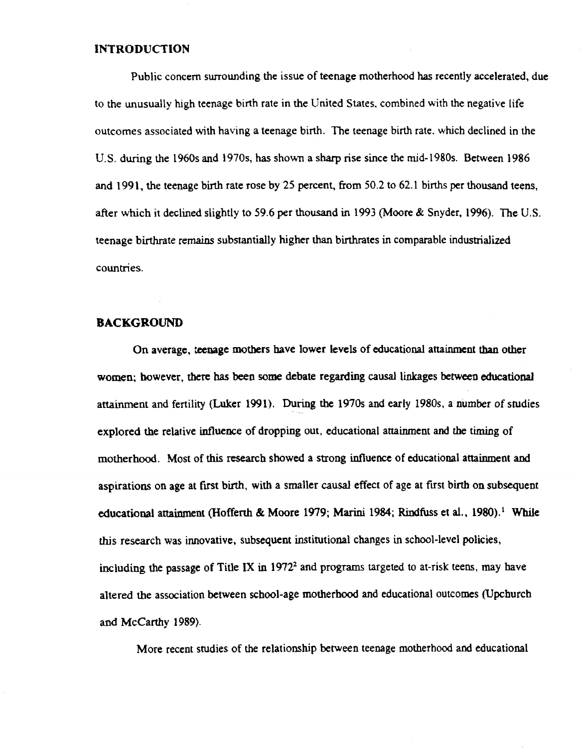#### INTRODUCTION

Public concern surrounding the issue of teenage motherhood has recently accelerated, due to the unusually high teenage birth rate in the United States, combined with the negative life outcomes associated with having **a teenage** birth. The teenage birth rate. which declined in the U.S. during the 1960s and 1970s, has shown a sharp rise since the mid-1980s. Between 1986 and 1991, the teenage birth rate rose by 25 percent, from 50.2 to 62.1 births per thousand teens, **after which it declined slightly to 59 .6 per thousand in 1943 (Moore & Snyder,** 1996). The U.S. teenage birthrate remains substantially higher than birthrates in comparable industrialized countries.

## **BACKGROUND**

On average, ;**eenage mothers** have lower levels of educational attainment than other women; however, there has been some debate regarding causal linkages between educational attainment and fertility (Luker 1991). During the 1970s and early 1980s, a number of studies expiored the relative influence of dropping out, educational attainment and the timing of motherhood. Most of this **research** showed **a strong influence** of educational **attainment and aspirations on age at first** birth, with a **smaller causal** effect of age at first birth **on subsequent** educational attainment (Hofferth & Moore 1979; Marini 1984; Rindfuss et al., 1980).<sup>1</sup> While this research was innovative, subsequent institutional changes in school-level policies, including the passage of Title IX in  $1972<sup>2</sup>$  and programs targeted to at-risk teens, may have altered the association between school-age motherhood and educational outcomes (Upchurch and McCarthy 1989).

More recent studies of the relationship between teenage motherhood and educational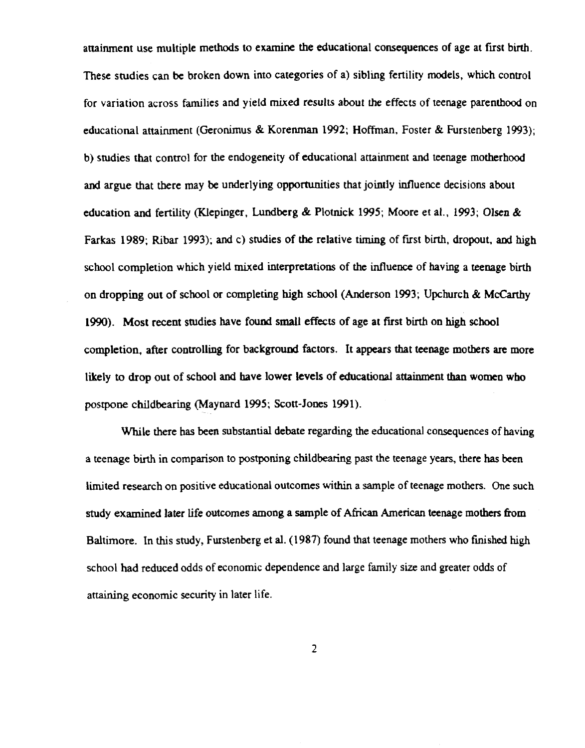attainment use multiple methods to examine the educational consequences of age at first birth. These **studies can be broken down into categories of a) sibling** fertility **models,** which control for variation across families and yield mixed results about the effects of teenage parenthood on educational attainment (Geronimus & Korenman 1992; Hoffman, Foster & Furstenberg 1993): b) studies that control for the endogeneity of educational attainment and teenage motherhood and argue that there may be underlying opportunities that jointly influence decisions about education and fertility (Klepinger, Lundberg & Plotnick 1995; Moore et al., 1993; Olsen & Farkas 1989; Ribar 1993); and c) studies of the relative timing of first birth, dropout, and high school completion which yield mixed interpretations of the influence of having a teenage birth on dropping out of school or completing high school (Anderson 1993; Upchurch & McCarthy 1990). Most recent studies have found small effects of age at first birth on high school completion, after controlling for background factors. It appears that teenage mothers are more likely to drop out of school and have lower levels of educational attainment than women who postpone childbearing (Maynard 1995; Scott-Jones 1991).

While there has been substantial debate regarding the educational consequences of having a teenage birth in comparison to postponing childbearing past the teenage years, there has been limited research on positive educational outcomes within a sample of teenage mothers. One such study examined later life outcomes among a sample of African American teenage mothers from Baltimore. In this study, Furstenberg et al. (1987) found that teenage mothers who finished high school had reduced odds of economic dependence and large family size and greater odds of attaining economic security in later life.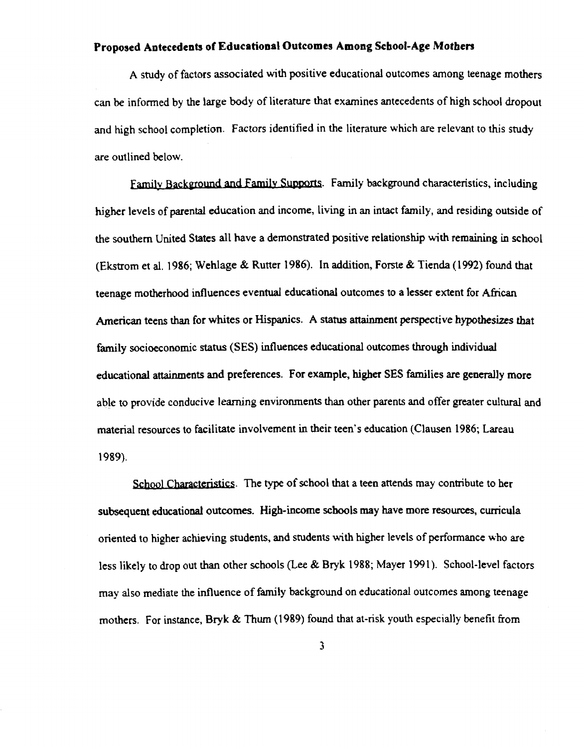# Proposed Antecedents of Educational Outcomes Among School-Age Mothers

A study of factors associated with positive educational outcomes among teenage mothers can be informed by the large body of literature that examines antecedents of high school dropout and high school completion. Factors identified in the literature which are relevant to this study are outlined below.

Family Background and Family Supports. Family background characteristics, including higher levels of parental education and income, living in an intact family, and residing outside of the southern United States all have a demonstrated positive relationship with remaining in school (Ekstrom et al. 1986; Wehlage & Rutter 1986). In addition, Forste & Tienda (1992) found that teenage motherhood influences eventual educational outcomes to a lesser extent for African American teens than for whites or Hispanics. A status attainment perspective hypothesizes that family socioeconomic status (SES) influences educational outcomes through individual educational attainments and preferences. For example, higher SES families are generally more able to provide conducive learning environments than other parents and offer greater cultural and material resources to facilitate involvement in their teen's education (Clausen 1986; Lareau 1989).

School Characteristics. The type of school that a teen attends may contribute to her subsequent educational outcomes. High-income schools may have more resources, curricula oriented to higher achieving students, and students with higher levels of performance who are less likely to drop out than other schools (Lee & Bryk 1988; Mayer 1991). School-level factors may also mediate the influence of family background on educational outcomes among teenage mothers. For instance, Bryk & Thum (1989) found that at-risk youth especially benefit from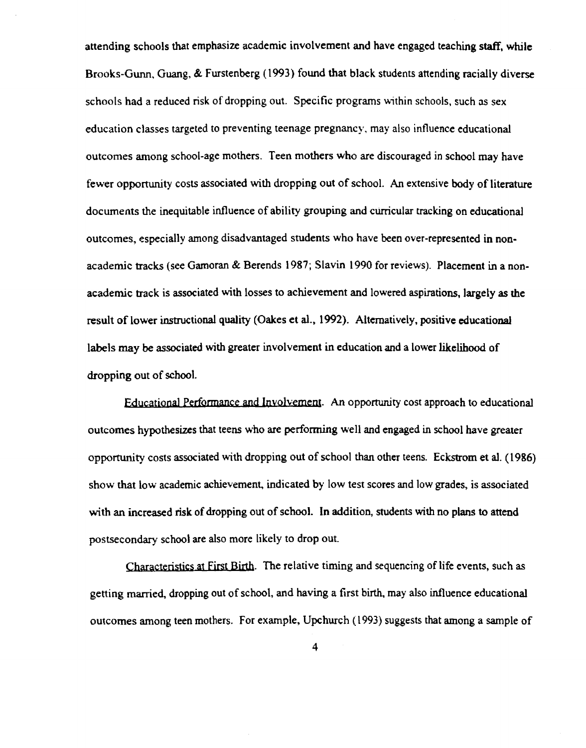attending schools that emphasize academic involvement and have engaged teaching staff, while Brooks-Gunn, Guang, & Furstenberg (1993} found that black students **attending** racially diverse schools had a reduced risk of dropping out. Specific **programs** w~thin schools, **such as sex** education classes targeted to preventing teenage pregnancy, may also influence educational outcomes among school-age mothers. Teen mothers who are discouraged in school may have fewer opportunity **costs associated** with dropping out of school. An extensive body of **literature** documents the inequitable influence of ability grouping and curricular tracking on educational outcomes, especially among disadvantaged students who have been over-represented in nonacademic tracks (see Gamoran & Berends 1987; Slavin 1990 for reviews). Placement in a nonacademic track is associated with losses to achievement and lowered aspirations, largely as the **result** of lower **instructional** quality (Oakes et al., 1992). Altematively, **positive edueational** labels may be associated with greater involvement in education and a lower likelihood of dropping out of school.

**F.ducational Performance and Involvement.** An opportunity cost approach to educational outcomes hypothesizes that teens who are performing well and engaged in school have greater opportunity costs associated with dropping out of schaol than other teens . Eckstrom et al. (1988} show that low academic achievement, indicated by low test scores and low grades, is associated with an increased risk of dropping out of school. In addition, students with no plans to attend postsecondary school **are also** more likely to drop out.

Characteristics at First Birth. The relative timing and sequencing of life events, such as getting married, dropping out of school, and having a first birth, may also influence educational outcomes **among teen** mothers. For example, Upchurch (1993} suggests **that among** a sample of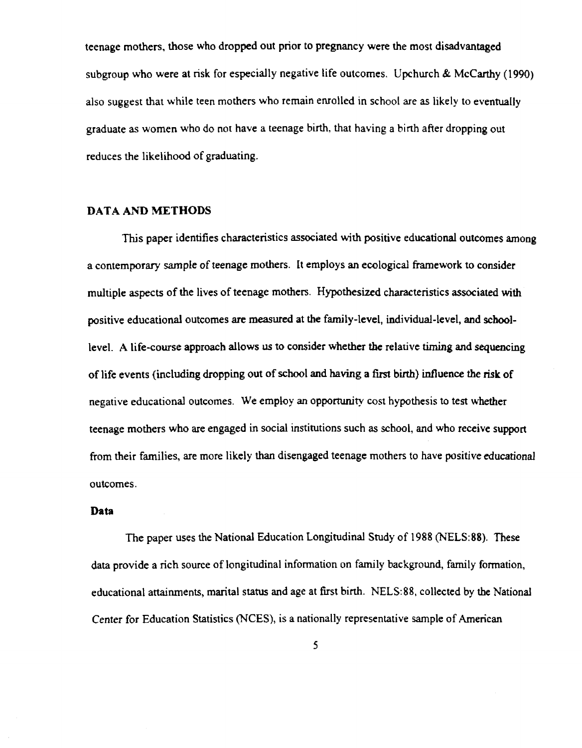teenage mothers, those who dropped out prior to pregnancy were the most disadvantaged **subgroup who were at risk** for especially **negative life outcornes.** Upchurch & McCarthy (1990) also suggest that while teen mothers who remain enrolled in school are as likely to eventually graduate as women who do not have a teenage birth, that having a birth after dropping out reduces the likelihood **of graduating.**

## **DATA AND METHODS**

This paper identifies characteristics associated with positive educational outcomes among a contemporary sarnple of **teenage mothers.** lt employs **an ecological** framework to consider **multiple aspects** of the lives **of teenage mothers.** Hypothesized **characteristics associated with** positive educational outcomes **are rneasured** at the family-level, individual-level, and schoollevel. A life-course approach allows us to consider whether the relative timing and sequencing of life events (including dropping out of school and having a first birth) influence the risk of negative educational outcomes. We employ an opportunity cost hypothesis to test whether teenage mothers who are engaged in social institutions such as school, and who receive support from their **families, are more** likely **than disengaged teenage mothers** to have positive **educational** outcomes.

#### Data

The paper uses the National Education Longitudinal Study of 1988 (NELS:88). These data provide a rich source of longitudinal information on family background, family formation, **educational attainments, marital status and age at fust** birth. NELS :88, collected by **the National Center for Education Statistics** (NCES), **is a nationally representative sample of American**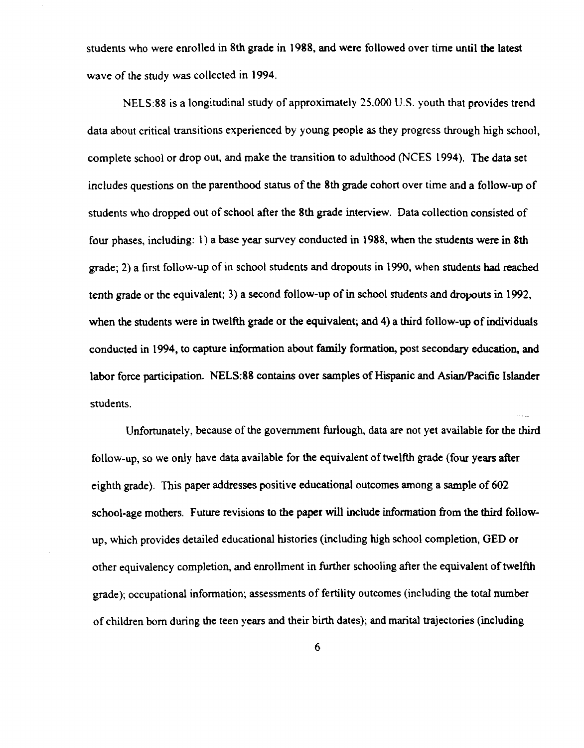students who were enrolled in 8th grade in 1988, and were followed over time until the latest wave of the study was collected in 1994.

NELS :88 is **a longitudinal study of approximately** 25,000 U .S . youth **that pravides trend** data about critical transitions experienced by young people as they progress through high school. complete school or drop out, and make the transition to adulthood (NCES 1994). The data set includes questions on the pazenthood status of **the 8th grade** cohort over time **ar,d a** follow-up of students who dropped out of school after the 8th grade interview . Data collection consisted of four phases, **including: 1) a base year** survey **conducted in 1988, when the students were in 8th** grade; 2) a first follow-up of in school students and dropouts in 1990, when students had reached tenth grade or the equivalent; 3} a second follow-up of in school students and dropouts in 1992, when the students were in twelfth grade or the equivalent; and 4) a third follow-up of individuals conducted in 1994, to capture **information** about family **farmation,** post secondary **education, and** labor force participation. NELS:88 contains over samples of Hispanic and Asian/Pacific Islander students.

Unfortunately, because of the government furlough, data aze not yet available for the third follow-up, so we only have data available for the equivalent of twelfth grade (four years after **eighth grade) .** This **paper addresses positive educational outcomes among a sample of 602** school-age mothers. Future revisions to the paper will include information from the third followup, which provides detailed educational histories (including high school completion, GED or other equivalency completion, and enrollment in further schooling after the equivalent of twelfth grade); occupational information; assessments of fertility outcomes (including the total number of children barn during the teen years and their birth dates}; and marital trajectories (including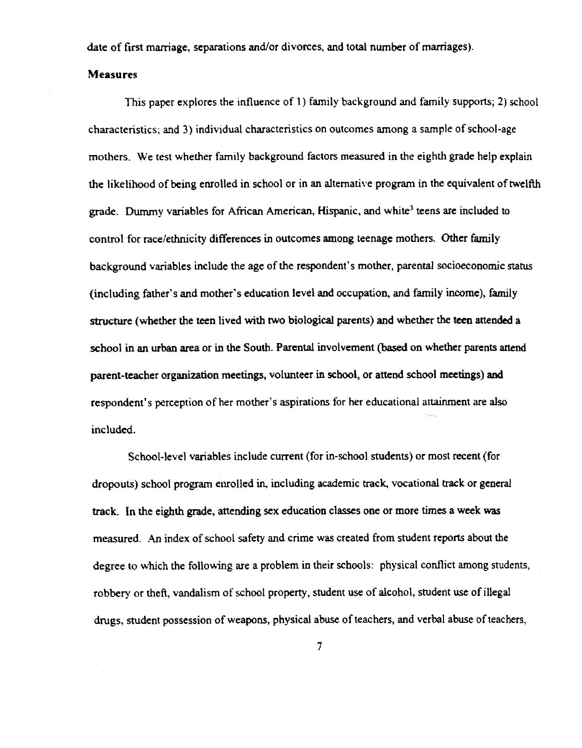date of first marriage, separations and/or divorces, and total number of marriages).

## Measures

This **paper explores the influence of 1) family background and family supports ; 2) schoo <sup>l</sup>** characteristics; and 3) individual characteristics on outcomes among a sample of school-age mothers. We test whether family background factors measured in the eighth grade help explain the likelihood of being enrolled in school or in an alternative program in the equivalent of twelfth grade . Dummy variables for African American, Hispanic, and white' **teens are** included to control for racelethnicity **differences** in autcomes **among teenage** mothers. Other family background variables include the age of the respondent's mother, parental socioeconomic status (including father's and mother's education level and occupation, and family income), famil y structure (whether the teen lived with two biological parents) and whether the teen attended a school in an urban area or in the South. Parental involvement (based on whether parents attend parent-teacher organization meetings, volunteer in school, or attend school meetings) and respondent's perception of her mother's aspirations for her educational attainmert are also inc luded.

School-level variables include current (for in-school students) or most recent (for dropouts) school program enrolled in, including academic track, vocational track or general track. In the eighth grade, attending sex education classes one or more times a week was measured. An index of school safety and crime was created from student reports about the degree to which the following are a problem in their schools: physical conflict among students, robbery or theft, vandalism of school property, student use of alcohol, student use of illegal drugs, student possession af weapons, physical abuse of teachers, and verbal abuse of teachers ,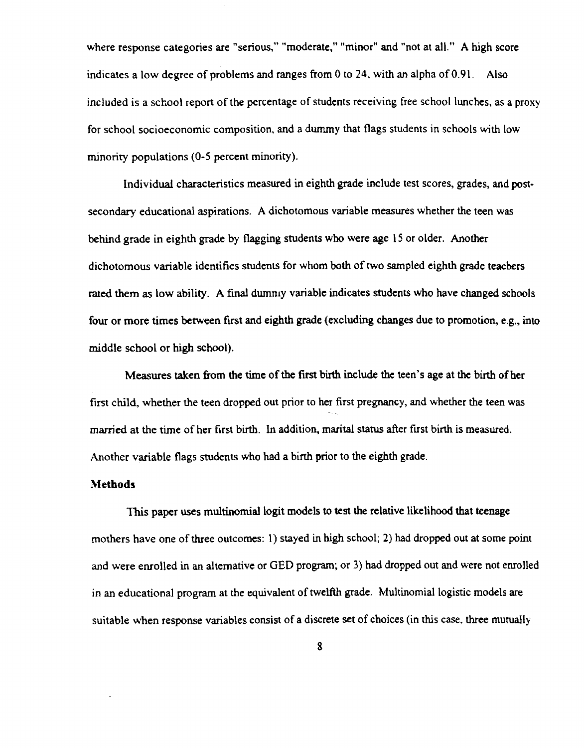where response categories are "serious," "moderate," "minor" and "not at all." A high score indicates a low degree of problems and ranges from 0 to 24, with an alpha of  $0.91$ . Also included is a school report of the percentage of students receiving free school lunches, as a proxy for school socioeconomic composition, and a dummy that flags students in schoals with low minority populations (0-5 percent minority).

lndividual characteristics measured in eighth grade include test scares, grades, and postsecondary **educational aspirations.** A dichotomous **variable measures** whether the **teen was** behind grade in eighth grade by **flagging students who were age** 15 or older. Another dichotomous variable identifies students for whom both of two sampled eighth grade teachers rated them as low ability. A final dumnry variable indicates students who have changed schools four or more times between first and eighth grade (excluding changes due to promotion, e.g., into middle school or high school}.

Measures taken from the time of the first birth include the teen's age at the birth of her first child, whether the teen dropped out prior to her first pregnancy, and whether the teen was married at the time of her first birth. In addition, marital status after first birth is measured. Another **variable flags students** who had a birrh **priar to the eighth grade.**

#### Methods

This paper uses multinomial logit models to test the relative likelihood that teenage mothers have one of three outcomes: 1) stayed in high school; 2) had dropped out at some point and were enroiled **in an alternative** or GED program; or 3) had drapped out and **were not enrolled** in an educational program at the equivalent of twelfth grade. Multinomial logistic models are suitable when response variables consist of a discrete set of choices (in this case, three mutually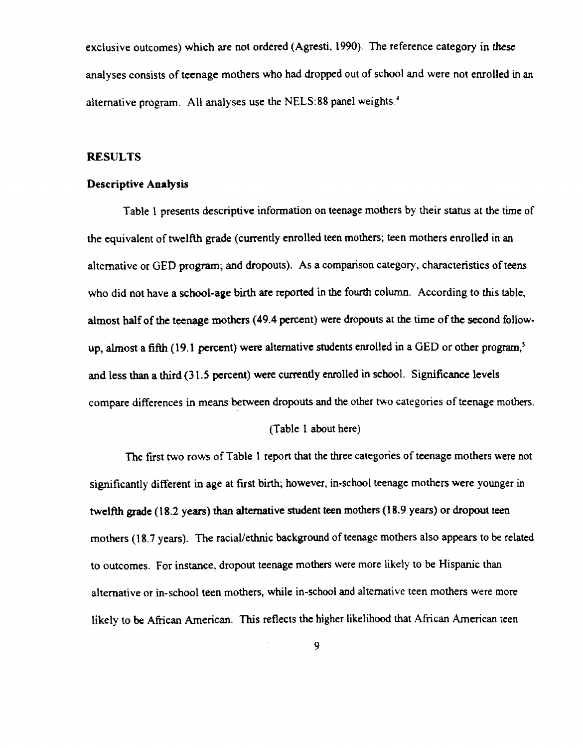exclusive outcomes) which are not ordered (Agresti, 1990). The reference category in these analyses **consists of teenage** mothers who had dropped out of school and were not **enrolled in an** alternative program. All analyses use the NELS:88 panel weights.<sup>4</sup>

## RESULTS

## Descriptive Analysis

Table 1 presents descriptive information on teenage mothers by their status at the time of the equivalent of twelfth grade (currently enrolled teen mothers; teen mothers enrolled in an alternative or GED program; and dropouts). As a comparison category, characteristics of teens who did not have a school-age birth are reported in the fourth column. According to this table, almost half of the teenage mothers (49 .4 percent} were dropouts at the time of the secand follow**up, almost** a fifth (**19.1 percent} were alternative students enrolled in** a GED or other **program, <sup>5</sup>** and less than a third (31.5 percent) were currently enrolled in school. Significance levels compare differences in means between dropouts and the other two categories of teenage mothers.

#### (Table 1 about here)

The first two rows of Table 1 report that the three categories of teenage mothers were not significantly different in age at first birth; however, in-school teenage mothers were younger in twelfth grade (18.2 years) than alternative student teen mothers (18.9 years) or dropout teen mothers (18.7 years). The racial/ethnic background of teenage mothers also appears to be related **to outcomes. For instance, dropout teenage mothers were more** likely **to be Hispanic than** alternative or in-school teen mothers, while in-school and alternative teen mothers were more likely to be African American. This reflects the higher likelihood that African Ameriean teen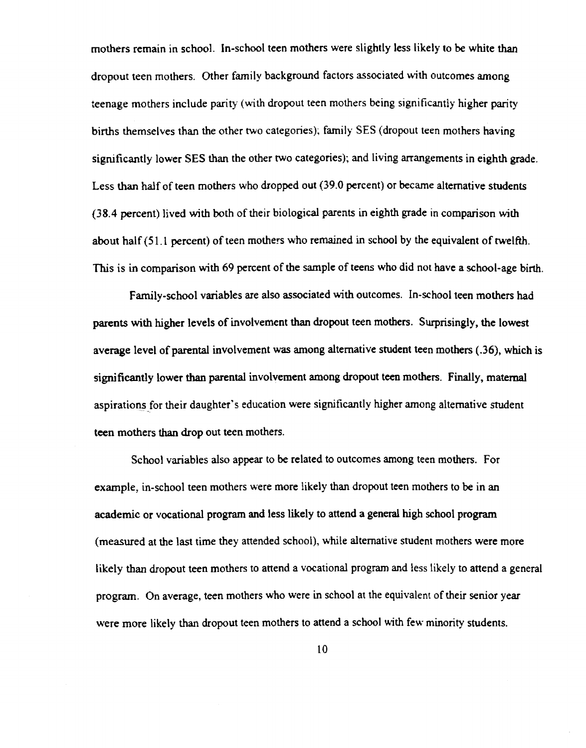mothers remain in school. In-school teen mothers were slightly less likely to be white than dropout teen mothers. Other family background factors associated with outcomes among teenage mothers include parity (with dropout teen mothers being significanily higher parity births themselves than the other two categories); family SES (dropout teen mothers having significantly lower SES than the other two categories); and living arrangements in eighth grade. Less than half of teen mothers who dropped out (39.0 percent) or became alternative students  $(38.4$  percent) lived with both of their biological parents in eighth grade in comparison with about half (51.1 percent) of teen mothers who remained in school by the equivalent of twelfth. This is in comparison with 69 percent of the sample of teens who did not have a school-age birth.

Family-school variables are also associated with outcomes. In-school teen mothers had parents with higher levels of involvement than dropout teen mothers. Surprisingly, the lowest **average level** of parental involvement **was among** alternative student teen mothers { .36j, which is significantly lower than parental involvement among dropout teen mothers. Finally, maternal aspirations for their daughter's education were significantly higher among alternative student teen mothers than drop out teen mothers.

School variables also appear to be related to outcomes among teen mothers. For example, in-school teen mothers were more likely than dropout teen mothers to be in an academic or vocational program and less likely to attend a general high school program (measured at the last time they attended school), while alternative student mothers were more likely than dropout teen mothers to attend a vocational program and less likely to attend **a general** program. On average, teen mothers who were in school at the equivalent of their senior year were more likely than dropout teen mothers to attend a school with feu minority students.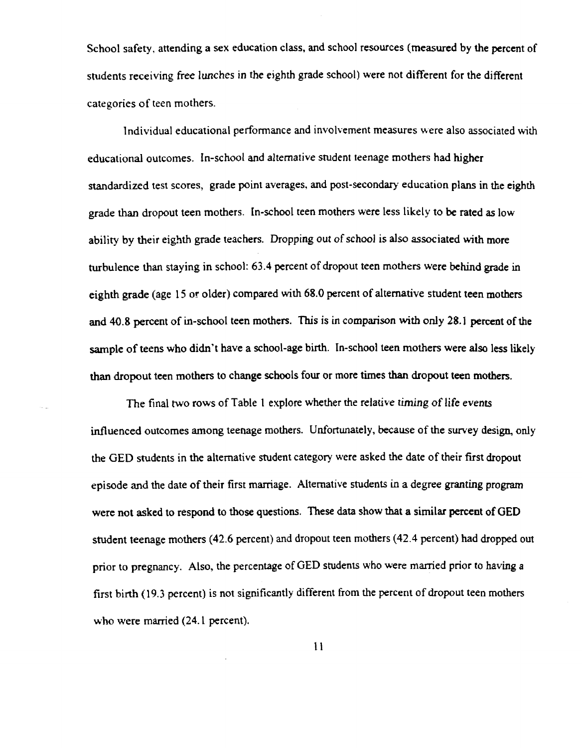School safety, attending a sex education class, and school resources (measured by the percent of students receiving free lunches in the eighth grade school) were not different for the different categories of teen mothers.

Individual educational performance and involvement measures were also associated with educational outcomes. In-school and alternative student teenage mothers had higher standardized test scores, grade point averages, and post-secondary education plans in the eighth grade than dropout teen mothers. In-school teen mothers were less likely to be rated as low ability by their eighth grade teachers. Dropping out of school is also associated with more turbulence than staying in school: 63.4 percent of dropout teen mothers were behind grade in eighth grade (age 15 or older) compared with 68.0 percent of alternative student teen mothers and 40.8 percent of in-school teen mothers. This is in comparison with only 28.1 percent of the sample of teens who didn't have a school-age birth. In-school teen mothers were also less likely than dropout teen mothers to change schools four or more times than dropout teen mothers.

The final two rows of Table 1 explore whether the relative timing of life events influenced outcomes among teenage mothers. Unfortunately, because of the survey design, only the GED students in the alternative student category were asked the date of their first dropout episode and the date of their first marriage. Alternative students in a degree granting program were not asked to respond to those questions. These data show that a similar percent of GED student teenage mothers (42 .6 percent) and dropout teen mothers (42 .4 percent) had dropped out **prior to pregnancy .** Also, **the percentage** of GED students **who were married prior to having a** first birth (19.3 percent) is not significantly different from the percent of dropout teen mothers who were married (24.1 percent).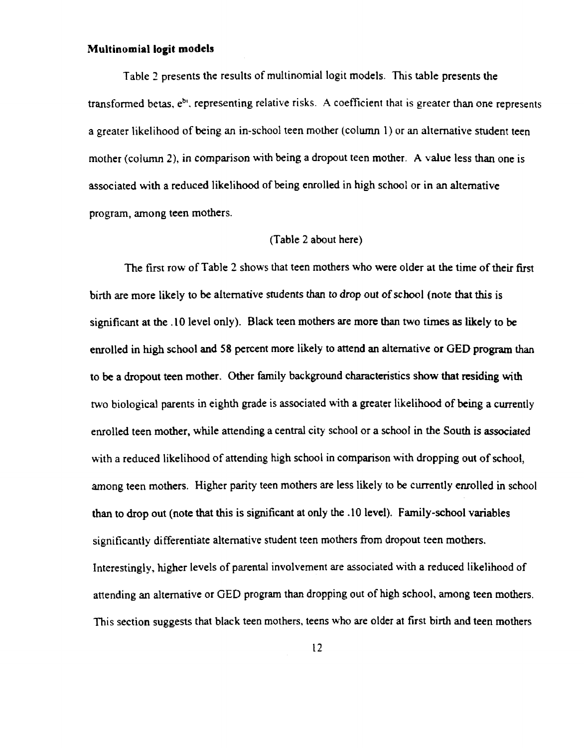## Multinomial Iogit models

Table 2 presents the results of multinomial logit models. This table presents the **transformed betas, eb', representing relative** risks. A coefficient **that is greater than one represent <sup>s</sup>** a greater likelihood of being an in-school teen mother (column 1) or an alternative student teen mother (column 2), in comparison with being a dropout teen mother. A value less than one is associated with a reduced likelihood of being enrolled in high school or in an alternative program, **among teen** mothers.

## (Table 2 about here )

The first row of Table 2 shows that **teen mothers who were older at the time of their firs t** birth are more likely to be alternative students than to drop out of school (note that this is significant at the .10 level only). Black teen mothers are more than two times as likely to be enrolled in high school and 58 percent more likely to attend an alternative or GED program than to be a dropout teen mother. Other family background characteristics show that residing with two biological parents in eighth grade is associated with a greater likelihood of being a currently **enrolled teen mother, while attending a central** city schoal or **a school in the South is associated** with a reduced likelihood of attending high school in comparison with dropping out of school, among teen mothers. Higher parity teen mothers are less likely to be currently enrolled in school than to drop out (note that this is significant at only the .10 level}. Family-school variables significantly differentiate alternative student teen mothers from dropout teen mothers. Interestingly, higher levels of parental involvement are associated with a reduced likelihood of attending an alternative or GED program than dropping out of high school, among teen mothers. This section suggests that black teen mothers, teens who are older at first birth and teen mothers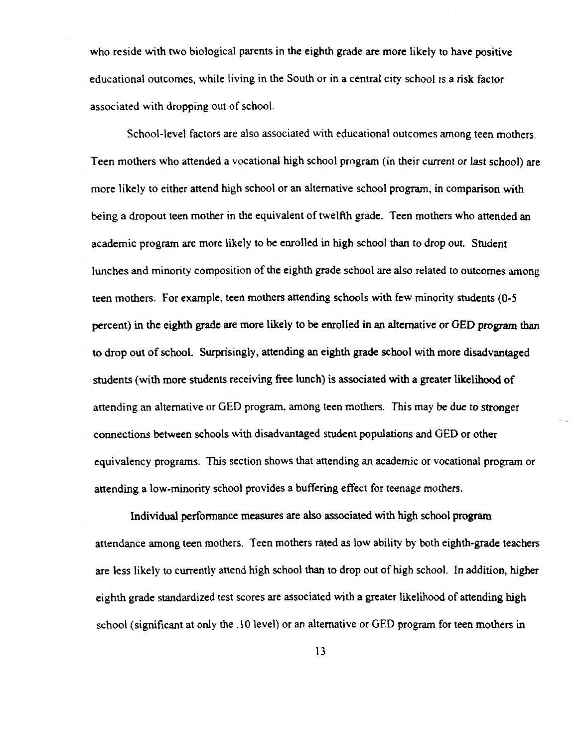who reside with two biological parents in the eighth grade are more likely to have positive educational outcomes, while living in the South or in a central city school is a risk factor associated with dropping out of school.

School-level factors are also associated with educational outcomes among teen mothers. Teen mothers who attended a vocational high school program (in their current or last school) are more likely to either attend high school or an alternative school program, in comparison with being a dropout teen mother in the equivalent of twelfth grade. Teen mothers who attended an academic program are more likely to be enrolled in high school than to drop out . Student lunches and minority composition of the eighth grade school are also related to outcomes among teen mothers. For example, teen mothers attending schools with few minority students (0-5 **percent**) in the eighth grade are more likely to be enrolled in an alternative or GED program than to drop out of school. 5urprisingly, **attending** an eighth **grade schaol** with mote **disadvantaged** students (with more students receiving free lunch) is associated with a greater likelihood of attending an alternative or GED program, among teen mothers. This may be due to stronger connections between schools with disadvantaged student populations and GED or other equivalency programs. This section shows that attending an academic or vocational program or attending a low-minority school provides a buffering effect for teenage mothers.

Individual performance measures are also associated with high school program attendance among teen mothers. Teen mothers rated as low ability by both eighth-grade teachers are less likely to currently attend high school than to drop out of high school. In addition, higher eighth grade standardized test scores are associated with a greater likelihood of attending high school (**significant** at only the .1 D **level) or an aftemative** or GED program **for teen mothers in**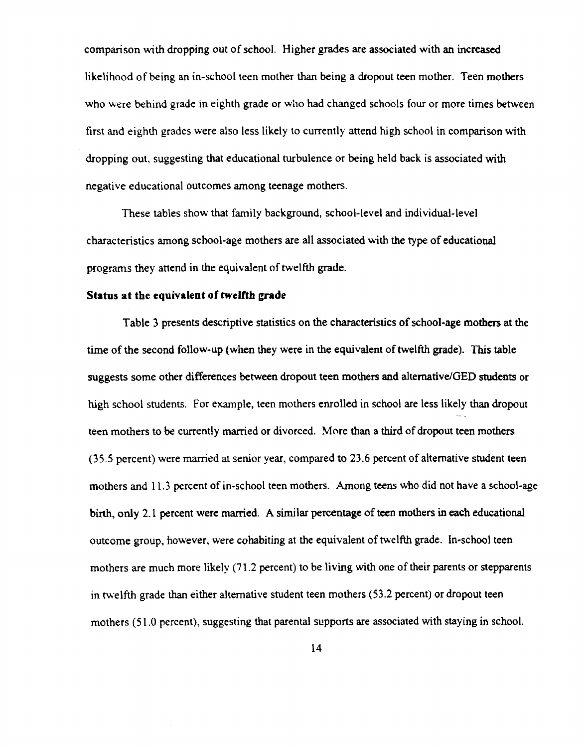comparison with dropping out of school. Higher grades are associated with an increased likelihood of being an in-school teen mother than being a dropout teen mother. Teen mothers who were behind grade in eighth grade or who had changed schools four or more times between first and eighth grades were also less likely to currently attend high school in comparison with dropping out, suggesting that educational turbulence or being held back is associated with negative educational outcomes among teenage mothers.

These tables show that family background, school-level and individual-level characteristics among school-age mothers are all associated with the type of educational **programs** they **attend in the equivalent of twelfth grade .**

## Status at the equivalent of twelfth grade

Table 3 presents descriptive statistics on the characteristics of school-age mothers at the time of the second follow-up (when they were in the equivalent of twelfth grade). This table suggests some other differences between dropout teen mothers and alternative/GED students or high school students. For example, teen mothers enrolled in school are less likely than dropout teen mothers to be currently **married or** divorced. More than a third of **dropout teen mothers** (35 .5 percent) were married at senior yeaz, compared to 23 .6 percent of alternative student teen mothers and 11.3 percent of in-school teen mothers. Among teens who did not have a school-age birrh, only 2.1 **percent were** married. A **similar percentage of teen mothers in each educatioaa l** outcome group, however, were cohabiting at the equivalent of twelfth grade. In-school teen **mothers are** much **more** likely (71 .2 percent) **to be living** with **one of their parents or stepparents** in twelfth grade than either alternative student teen mothers (53.2 percent) or dropout teen mothers (51.0 percent), suggesting that parental supports are associated with staying in school.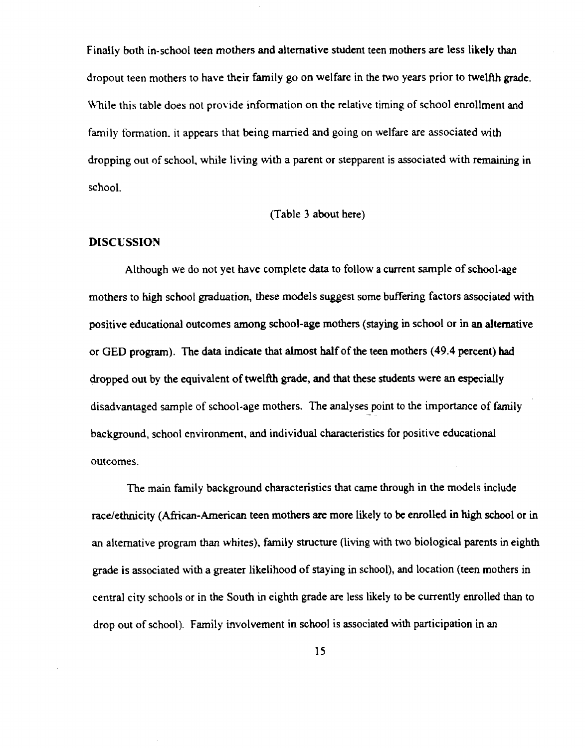Finally both in-school teen mothers and alternative student teen mothers are less likely than dropout teen mothers to have their family go on welfare in the two years prior to twelfth grade. While this table does not provide information on the relative timing of school enrollment and family formation, it appears that being married and going on welfare are associated with dropping out nf school, while living with a parent or stepparent is associated with remaining in schaol.

#### (Table 3 about here)

#### **DISCUSSION**

Although we do not yet have complete data to follow a current sample of school-age mothers to high school graduation, these models suggest some buffering factors associated with positive educational outcomes **among** school-age mothers (staying in school or **in an alternative** or GED **program) . The data indicate that almost hatf of the teen mothers** (**49.4 percent) had** dropped out by the equivalent of twelfth grade, **and that these studeats were an especiall y** disadvantaged sample of school-age mothers. The analyses point to the importance of family background, school environment, and individual characteristics for positive educational outcomes.

The main family background characteristics that came through in the models include race/ethnicity (African-American teen mothers are more likely to be enrolled in high school or in an alternative program than whites), family structure (living with two biological parents in eighth grade is associated with a greater likelihood of staying in school), and location (teen mathers in central city schools or in the South in eighin grade are less likely to be currently enrolled than to drop out of school). Family involvement in school is associated with participation in an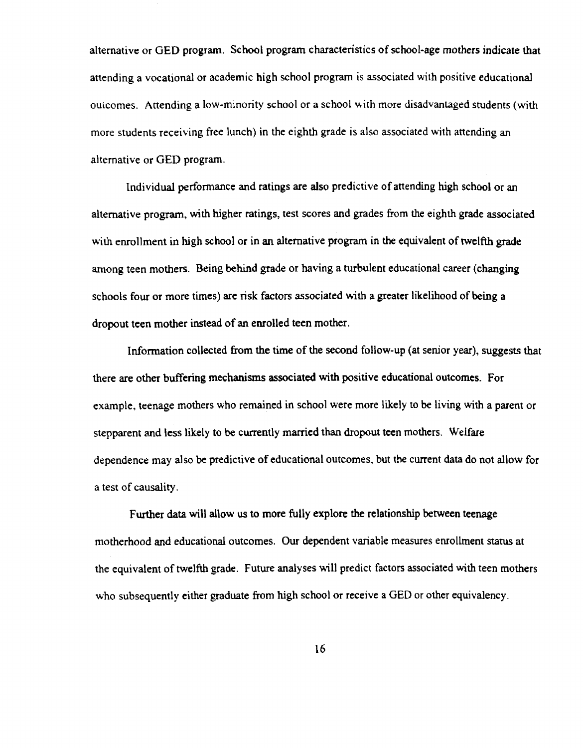alternative or GED program. School program characteristics of school-age mothers indicate that attending a vocational or academic high school program is associated with positive educational outcomes. Attending a low-minority school or a school with more disadvantaged students (with more students receiving free lunch) in the eighth grade is also associated with attending an altemative or GED program.

individual performance and ratings are also predictive of attending high school or an alternative program, with higher ratings, test scores and grades from the eighth grade associated with enrollment in high school or **in an** altemative program in the equivalent of twelfth grade arnong teen mothers. Being behind grade or having a turbulent educational career (changing schools four or more times) are risk factors associated with a greater likelihood of being a dropout teen mother instead of an enrolled teen mother.

Information collected from the time of the second follow-up (at senior year), suggests that there are other buffering mechanisms associated with positive educational outcomes. For example, teenage mothers who remained in school were more likely to be living with a parent or **stepparent and iess** likely **to be currently married than dropout teen mothers . Weifaze** dependence may also be predictive of educational outcomes, but the current data do not allow for a test of causality.

Further data will allow us to more fu11y explore the relationship between teenage motherhood and educational outcomes. Our dependent variable measures enrollment status at the equivalent of twelfth grade. Future analyses will predict factors associated with teen mothers who subsequently either graduate from high school or receive a GED or other equivalency.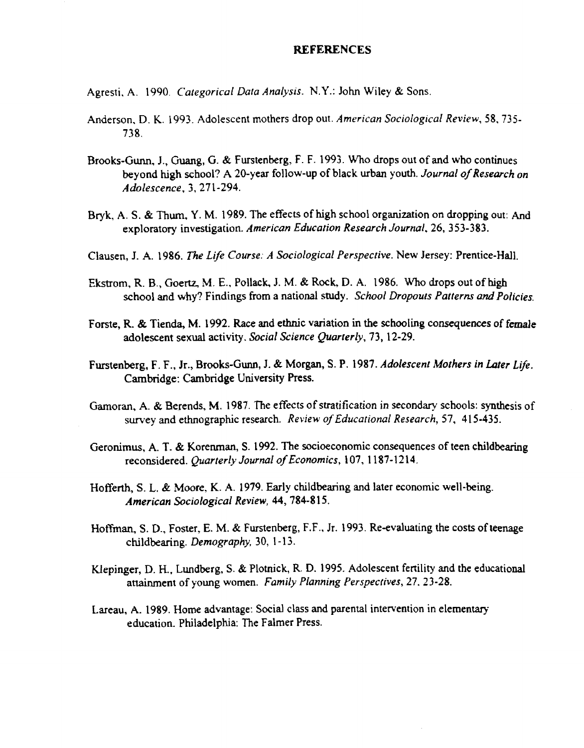#### REFERENCES

Agresti, A . 1990. *Categorical Data Analysis.* N.Y. : John Wiley & Sons.

- Anderson, D. K. 1993. Adolescent mothers drop out. American Sociological Review, 58, 735-738 .
- Brooks-Gunn, J., Guang, G. & Furstenberg, F. F. 1993. Who drops out of and who continues beyond high school? A 20-year follow-up of black urban youth . *Journal of Research on Adolescence,* 3, 271-294.
- Bryk, A. S. & Thum, Y. M. 1989. The effects of high school organization on dropping out: And exploratory investigation. *American Education Research Journal*, 26, 353-383.
- Clausen, 7. A. 1986. *The Life Caurse: A Sociological Perspective.* New Jersey: **Prentice-Hall.**
- Ekstrom, R. B., Goertz, M. E., Pollack, J. M. & Rock, D. A. 1986. Who drops out of high school and why? Findings from a **national** study. *Schovl Dropouts Patterns and Policies.*
- Forste, R. & Tienda, M. 1992. Race and ethnic variation in the schooling consequences of female adolescent sexual activity . *Social Science Quarterly, 73,* 12-29.
- Furstenberg, F. F., Jr., Brooks-Gunn, J. & Morgan, S. P. 1987. *Adolescent Mothers in Later Life.* **Cambridge: Cambridge University Press.**
- Gamoran, A. & Berends, M. 1987. The effects of stratification in secondary schools: synthesis of survey and ethnographic research. *Review of Educotional Research, 57,* 415-435 .
- Geronimus, A. T. & Korenman, S. 1992. The socioeconomic consequences of teen childbearing **reconsidered.** *Quarterly Journal of Economics,* 107, 1187-1214.
- Hofferth, S. L. & Moore, K. A. 1979. Early childbearing and later economic well-being. *American Sociological* **Review, 44, 784-815 .**
- Hoffman, S. D., Foster, E. M. & Furstenberg, F.F., Jr. 1993. Re-evaluating the costs of teenage childbearing. *Demography,* 30, 1-13 .
- Ktepinger, D. H., Lundberg, S. & Plotnick, R. D. 1995. Adolescent fertility and the educational attainment of young wornen. Family *Planning Perspectives, 27,* 23-28.
- Lareau, A. 1989. Home advantage: Social class and parental intervention in elementary education. Philadelphia: The Falmer Press.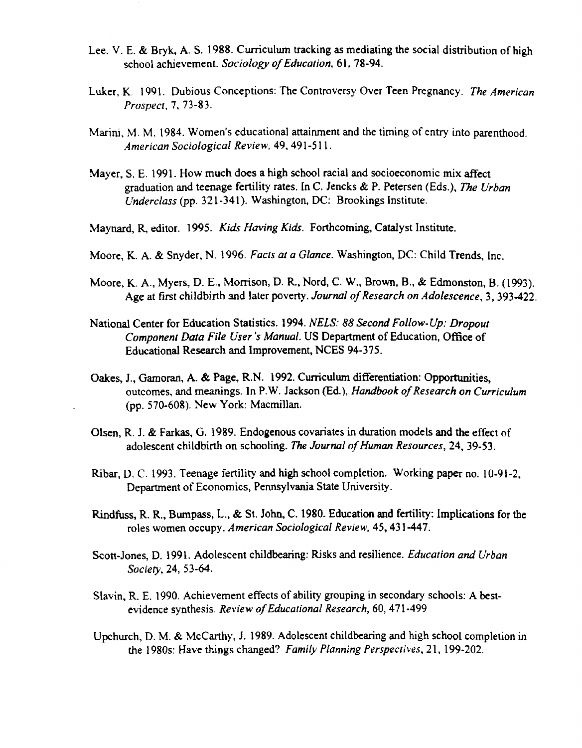- Lee, V. E. **& Bryk, A. S. 1988 . Curriculum tracking as mediating the social distribution of high school achievement.** *5aciology of Education,* **b 1, 78-94 .**
- Luker, K. 1991. Dubious Conceptions: The Controversy Over Teen Pregnancy. The American *Prospect, 7,* 73-83 .
- Marini, M. M. 1984. Women's educational attainment and the timing of entry into parenthood. *American 5ociological* **Review,** 44, 491-51 l .
- Mayer, S . E . 1941 . How much **does a high** school **racial and socioeconomic** mix affect **graduation and teenage** fertility rates. In C. Jencks & F. Petersen (Eds .), *The Urban L'nderclass* (pp. 321-341). Washington, DC: Brookings Institute.
- **Maynard, R, editor .** 1995 . Kids *Having* Kids. **Forthcoming, Catalyst Institute .**
- Moore, K. A. & 5nyder, N. 1996. *Facts at a Glance.* **Washington,** DC : Child Trends, [nc.
- Moore, K. A., Myers, D. E., Morrison, D. R., Nord, C. W., Brown, B., & Edmonston, B. (1993). Age at first childbirth and later poverty. *Journal of Research on Adolescence*, 3, 393-422.
- National Center for Education Statistics. 1994. *NELS: 88 Second Follow-Up: Dropout Component Data File User's Manual.* US Department of Education, Office of Educational Reseazch and improvement, NCES 94-375 .
- **Oakes, ]., Gamoran, A. & Page,** R.N. 1992. Curriculum **differentiation: Opportunities, outcomes, and meanings. In F.W. Jackson** {Ed.), *Handbook of Research on Curriculum* (pp. 570-608). New York: Macmillan.
- Olsen, R. J. & Farkas, G. 1989. Endogenous covariates in duration models and the effeet of adolescent childbirth on schooling. The Journal of Human Resources, 24, 39-53.
- Ribar, D. C. 1993. Teenage fertility and high school completion. Working paper no. 10-91-2. Department of Economics, Pennsylvania State University.
- **Rindfuss, R. R., Bumpass,** L., & St. **John, C. 198p. Education and fertility: Implications for the roles women occupy.** *American Sociological* Review, 45, 431-447 .
- Scott-Jones, D. 1991. Adolescent childbearing: Risks and resilience. *Education and Urban* Society, 24, 53-64.
- Slavin, R. E. 1990. Achievement effects of ability grouping in secondary schools : A bestevidence synthesis . Review *of Educarional Research,* 60, 471-499
- Upchurch, D. M. & McCarthy, J. 1989. Adolescent childbearing and high school completion in **the 1980s: Have things changed?** *Famrly* **Planning** *Perspectives,* 21, 199-202 .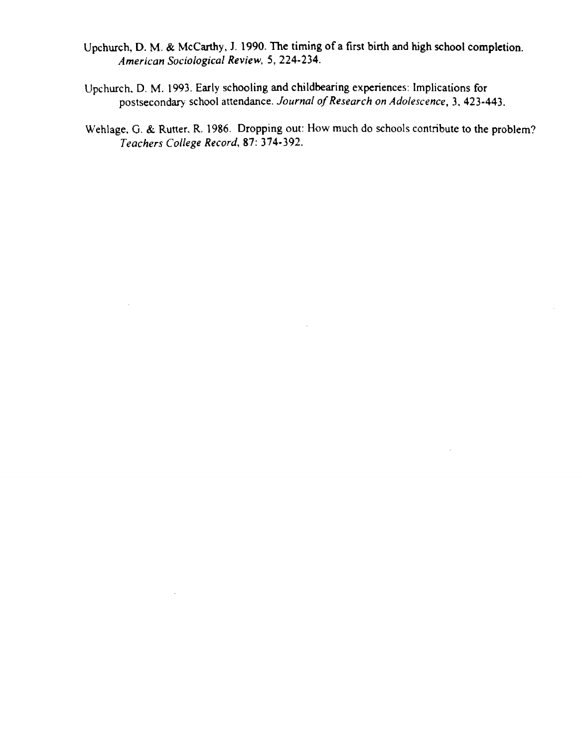- Upchurch, D. M. & McCarthy, J. 1990. The timing of a first birth and high school completion. *Arnerican Sociologica!* **Review, 5,** 224-234.
- Upchurch, D. M . 1993 . Early schooling and childbearing experiences: Implications for postsecondary school attendance . *Journal of Research on Adolescence,* 3, 423-443 .
- Wehlage, G. & Rutter, R. 1986. Dropping out: How much do schools contribute to the problem? *Teachers College Record, 87 :* 374-392.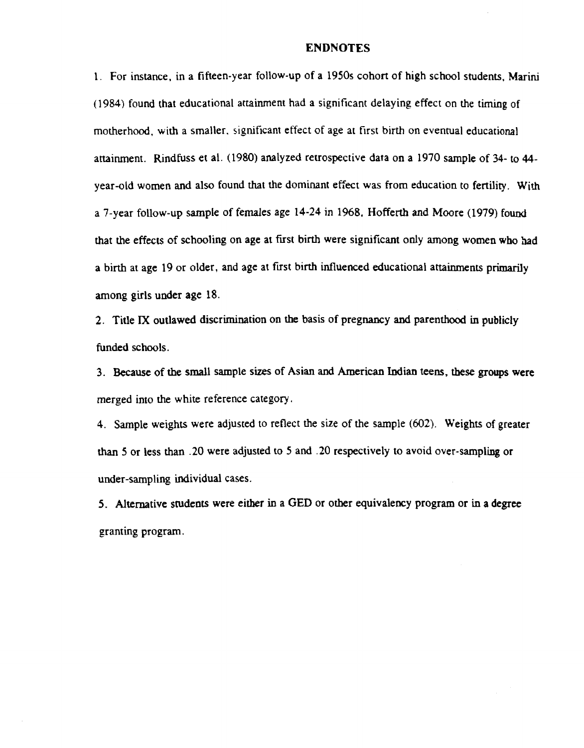#### ENDNOTES

<sup>1</sup> . For instance, in a fifteen-year follow-up of a 1950s cohort of high school students, Marini  $(1984)$  found that educational attainment had a significant delaying effect on the timing of motherhood, with a smaller, significant effect of age at first birth on eventual educational attainment. Rindfuss et al. (1980) analyzed retrospective data on a 1970 sample of 34- to 44year-old women and also found that the dominant effect was from education to fertility. With a 7-year follow-up sample of females age 14-24 in 1968. Hofferth and Moore (1979) found that the effects of schooling on age at first birth were significant only among women who had a birth at age 19 or older, and age at first birth influenced educational attainments primarily among girls under age 18.

2 . Title **IX oudawed discrinunation on the basis of pregnancy and parenthood in publicty** funded schools.

3. Because of the small sample sizes of Asian and American Indian teens, these groups were merged into the white reference category .

4 . Sample weights were adjusted to reflect the size of the sample (602) . Weights of greater than S or less than .20 were adjusted to 5 and .20 respectively to avoid over-sampting or under-sampling individual cases .

5. Alternative students were either in a GED or other equivalency program or in a degree granting program.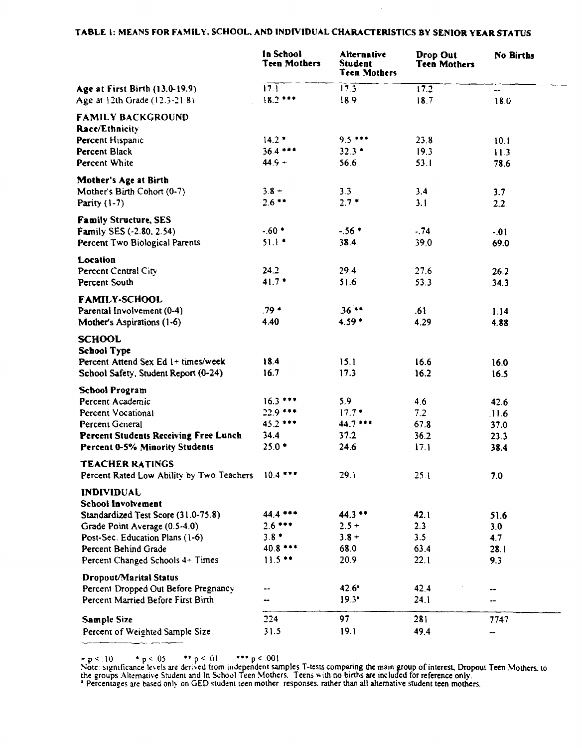## TABLE 1: MEANS FOR FAMILY, SCHOOL, AND INDIVIDUAL CHARACTERISTICS BY SENIOR YEAR STATUS

|                                                                  | In School<br><b>Teen Mothers</b> | <b>Alternative</b><br>Student<br><b>Teen Mothers</b> | Drop Out<br><b>Teen Mothers</b> | <b>No Births</b> |
|------------------------------------------------------------------|----------------------------------|------------------------------------------------------|---------------------------------|------------------|
| Age at First Birth (13.0-19.9)<br>Age at 12th Grade (12.3-21.8)  | 17.1<br>$18.2***$                | 17.3<br>18.9                                         | 17.2<br>18.7                    | ۰.<br>18.0       |
| <b>FAMILY BACKGROUND</b>                                         |                                  |                                                      |                                 |                  |
| <b>Race/Ethnicity</b>                                            | $14.2*$                          | $9.5***$                                             | 23.8                            |                  |
| Percent Hispanic<br>Percent Black                                | $36.4***$                        | $32.3*$                                              | 19.3                            | 10.1             |
| Percent White                                                    | $44.9 +$                         | 56.6                                                 | 53.1                            | 11.3<br>78.6     |
| Mother's Age at Birth                                            |                                  |                                                      |                                 |                  |
| Mother's Birth Cohort (0-7)                                      | $3.8 -$                          | 3.3                                                  | 3.4                             | 3.7              |
| Parity $(1-7)$                                                   | $2.6**$                          | $2.7*$                                               | 3.1                             | 2.2              |
| <b>Family Structure, SES</b>                                     |                                  |                                                      |                                 |                  |
| <b>Family SES (-2.80, 2.54)</b>                                  | $-60$ $*$                        | $-56*$                                               | $-74$                           | $-01$            |
| Percent Two Biological Parents                                   | $51.1*$                          | 38.4                                                 | 39.0                            | 69.0             |
| Location                                                         |                                  |                                                      |                                 |                  |
| Percent Central City                                             | 24.2                             | 29.4                                                 | 27.6                            | 26.2             |
| Percent South                                                    | $41.7*$                          | 51.6                                                 | 53.3                            | 34.3             |
| <b>FAMILY-SCHOOL</b>                                             |                                  |                                                      |                                 |                  |
| Parental Involvement (0-4)                                       | $79*$                            | $.36***$                                             | .61                             | 1.14             |
| Mother's Aspirations (1-6)                                       | 4.40                             | $4.59*$                                              | 4.29                            | 4.88             |
| <b>SCHOOL</b>                                                    |                                  |                                                      |                                 |                  |
| <b>School Type</b>                                               |                                  |                                                      |                                 |                  |
| Percent Attend Sex Ed 1+ times/week                              | 18.4                             | 15.1                                                 | 16.6                            | 16.0             |
| School Safety, Student Report (0-24)                             | 16.7                             | 17.3                                                 | 16.2                            | 16.5             |
| <b>School Program</b>                                            |                                  |                                                      |                                 |                  |
| Percent Academic                                                 | $16.3***$                        | 5.9                                                  | 4.6                             | 42.6             |
| Percent Vocational                                               | $22.9***$                        | $17.7*$                                              | 7.2                             | 11.6             |
| Percent General                                                  | $45.2***$                        | $44.7***$                                            | 67.8                            | 37.0             |
| <b>Percent Students Receiving Free Lunch</b>                     | 34.4                             | 37.2                                                 | 36.2                            | 23.3             |
| Percent 0-5% Minority Students                                   | $25.0*$                          | 24.6                                                 | 17.1                            | 38.4             |
| <b>TEACHER RATINGS</b>                                           |                                  |                                                      |                                 |                  |
| Percent Rated Low Ability by Two Teachers                        | $10.4***$                        | 29.1                                                 | 25.1                            | 7.0              |
| <b>INDIVIDUAL</b>                                                |                                  |                                                      |                                 |                  |
| School Involvement                                               | 44.4 ***                         |                                                      |                                 |                  |
| Standardized Test Score (31.0-75.8)                              | $2.6***$                         | $44.3**$                                             | 42.1                            | 51.6             |
| Grade Point Average (0.5-4.0)<br>Post-Sec. Education Plans (1-6) | $3.8*$                           | $2.5 +$<br>$3.8 +$                                   | 2.3<br>3.5                      | 3.0              |
| Percent Behind Grade                                             | $40.8***$                        | 68.0                                                 | 63.4                            | 4.7<br>28.1      |
| Percent Changed Schools 4+ Times                                 | $11.5**$                         | 20.9                                                 | 22.1                            | 9.3              |
| Dropout/Marital Status                                           |                                  |                                                      |                                 |                  |
| Percent Dropped Out Before Pregnancy                             |                                  | $42.6^*$                                             | 42.4                            | --               |
| Percent Married Before First Birth                               | --                               | 19.3'                                                | 24.1                            |                  |
|                                                                  | 224                              | 97                                                   | 281                             | 7747             |
| <b>Sample Size</b><br>Percent of Weighted Sample Size            | 31.5                             | 19.1                                                 | 49.4                            | --               |
|                                                                  |                                  |                                                      |                                 |                  |

 $p \le 10$  \*  $p \le 05$  \*\*  $p \le 01$  \*\*\*  $p \le 001$ <br>Note: significance levels are derived from independent samples T-tests comparing the main group of interest, Dropout Teen Mothers, to<br>the groups Alternative Student and In Sch

 $\hat{\mathcal{A}}$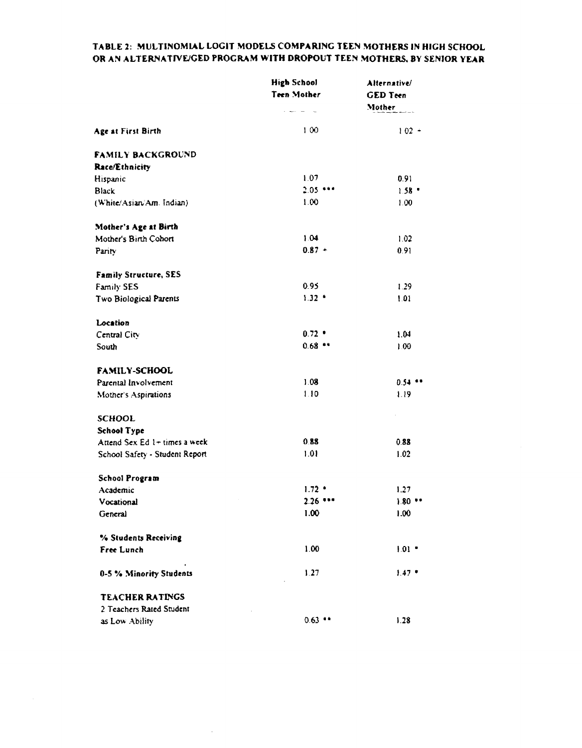## TABLE 2: MULTINOMIAL LOGIT MODELS COMPARING TEEN MOTHERS IN HIGH SCHOOL OR AN ALTERNATIVE/GED PROGRAM WITH DROPOUT TEEN MOTHERS, BY SENIOR YEAR

|                                | <b>High School</b>               | Alternative/    |
|--------------------------------|----------------------------------|-----------------|
|                                | Teen Mother                      | <b>GED</b> Teen |
|                                | $\alpha$ . Hence, $\alpha$ , and | Mother          |
| Age at First Birth             | 100                              | $102 +$         |
| FAMILY BACKGROUND              |                                  |                 |
| Race/Ethnicity                 |                                  |                 |
| Hispanic                       | 1.07                             | 0.91            |
| Black                          | $2.05***$                        | $1.58 -$        |
| (White/Asian/Am. Indian)       | 1.00                             | 1.00.           |
| Mother's Age at Birth          |                                  |                 |
| Mother's Birth Cohort          | 1.04                             | 1.02            |
| Parity                         | $0.87 +$                         | 0.91            |
| <b>Family Structure, SES</b>   |                                  |                 |
| Family SES                     | 0.95                             | 1.29            |
| Two Biological Parents         | $1.32 -$                         | 1.01            |
| Location                       |                                  |                 |
| Central City                   | $0.72 -$                         | 1.04            |
| South                          | 0.68                             | 1.00            |
| <b>FAMILY-SCHOOL</b>           |                                  |                 |
| Parental Involvement           | 1.08                             | $0.54$ **       |
| Mother's Aspirations           | 1.10                             | 1.19            |
| <b>SCHOOL</b>                  |                                  |                 |
| <b>School Type</b>             |                                  |                 |
| Attend Sex Ed 1+ times a week  | 0.88                             | 0.88            |
| School Safety - Student Report | 1.01                             | 1.02            |
| <b>School Program</b>          |                                  |                 |
| Academic                       | $1.72$ $+$                       | 1.27            |
| Vocational                     | $2.26$ ***                       | $1.80**$        |
| General                        | 1.00                             | 1.00            |
| % Students Receiving           |                                  |                 |
| Free Lunch                     | 1.00                             | $1.01 -$        |
| 0-5 % Minority Students        | 1.27                             | $1.47*$         |
| <b>TEACHER RATINGS</b>         |                                  |                 |
| 2 Teachers Rated Student       |                                  |                 |
| as Low Ability                 | $0.63$ **                        | 1.28            |

 $\sim$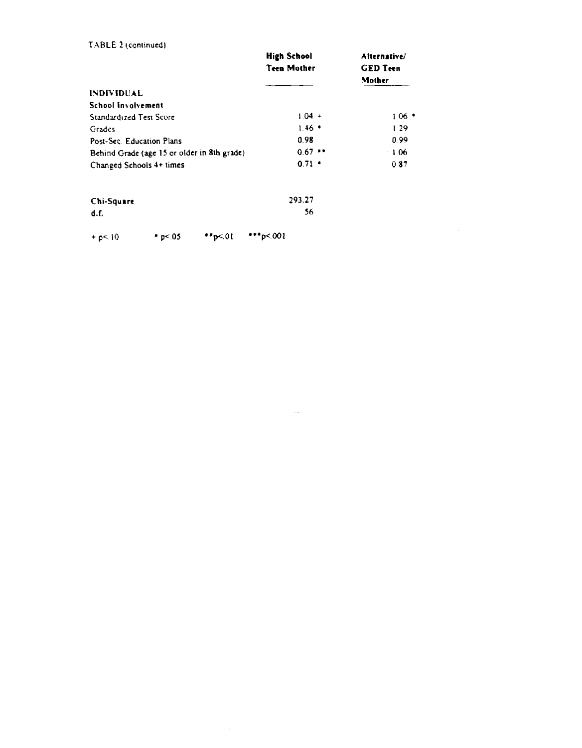#### TABLE 2 (continued)

|                                                                                                 | <b>High School</b><br><b>Teen Mother</b> | Alternative/<br><b>GED</b> Teen<br>Mother |
|-------------------------------------------------------------------------------------------------|------------------------------------------|-------------------------------------------|
| <b>INDIVIDUAL</b>                                                                               |                                          |                                           |
| School Involvement                                                                              |                                          |                                           |
| Standardized Test Score                                                                         | $1.04 +$                                 | $106$ $^{\circ}$                          |
| Grades                                                                                          | $1.46$ $*$                               | 1.29                                      |
| Post-Sec. Education Plans                                                                       | 0.98                                     | 0.99                                      |
| Behind Grade (age 15 or older in 8th grade)                                                     | 0.67                                     | 1.06                                      |
| Changed Schools 4+ times                                                                        | $0.71 -$                                 | 0.87                                      |
| $\mathcal{L}$ . The contract of $\mathcal{L}$ and $\mathcal{L}$ . The contract of $\mathcal{L}$ | רר במר                                   |                                           |

 $\label{eq:2.1} \frac{1}{\sqrt{2}}\left(\frac{1}{\sqrt{2}}\right)^{2} \left(\frac{1}{\sqrt{2}}\right)^{2} \left(\frac{1}{\sqrt{2}}\right)^{2} \left(\frac{1}{\sqrt{2}}\right)^{2} \left(\frac{1}{\sqrt{2}}\right)^{2} \left(\frac{1}{\sqrt{2}}\right)^{2} \left(\frac{1}{\sqrt{2}}\right)^{2} \left(\frac{1}{\sqrt{2}}\right)^{2} \left(\frac{1}{\sqrt{2}}\right)^{2} \left(\frac{1}{\sqrt{2}}\right)^{2} \left(\frac{1}{\sqrt{2}}\right)^{2} \left(\$ 

| Chi-Square | 293.27 |
|------------|--------|
| d.f.       | 56     |